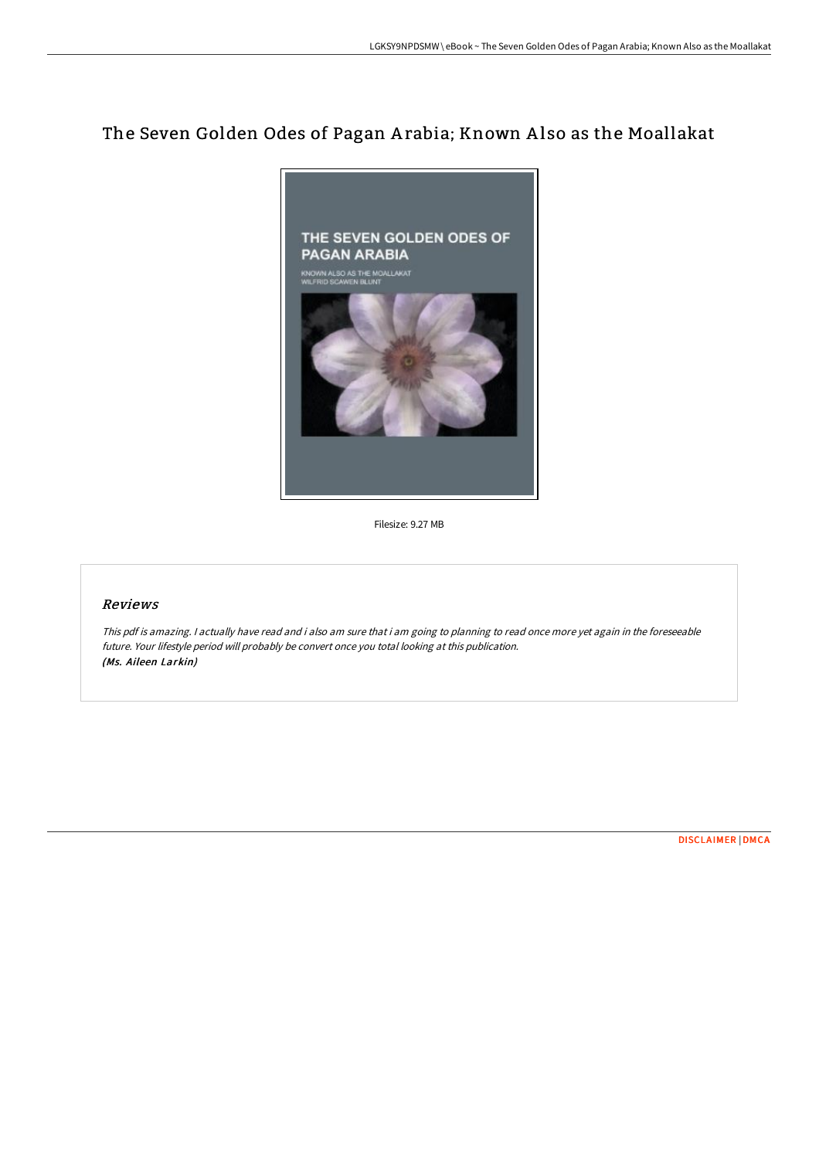# The Seven Golden Odes of Pagan A rabia; Known A lso as the Moallakat



Filesize: 9.27 MB

# Reviews

This pdf is amazing. <sup>I</sup> actually have read and i also am sure that i am going to planning to read once more yet again in the foreseeable future. Your lifestyle period will probably be convert once you total looking at this publication. (Ms. Aileen Larkin)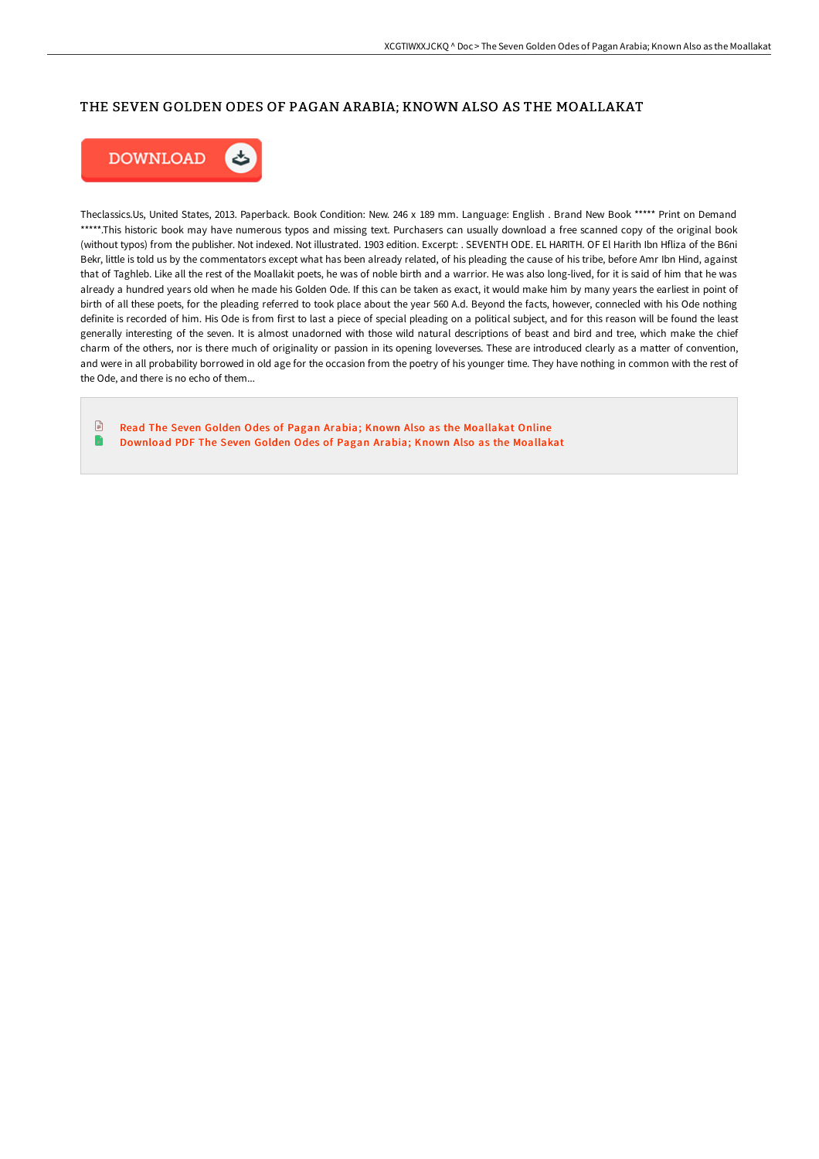## THE SEVEN GOLDEN ODES OF PAGAN ARABIA; KNOWN ALSO AS THE MOALLAKAT



Theclassics.Us, United States, 2013. Paperback. Book Condition: New. 246 x 189 mm. Language: English . Brand New Book \*\*\*\*\* Print on Demand \*\*\*\*\*.This historic book may have numerous typos and missing text. Purchasers can usually download a free scanned copy of the original book (without typos) from the publisher. Not indexed. Not illustrated. 1903 edition. Excerpt: . SEVENTH ODE. EL HARITH. OF El Harith Ibn Hfliza of the B6ni Bekr, little is told us by the commentators except what has been already related, of his pleading the cause of his tribe, before Amr Ibn Hind, against that of Taghleb. Like all the rest of the Moallakit poets, he was of noble birth and a warrior. He was also long-lived, for it is said of him that he was already a hundred years old when he made his Golden Ode. If this can be taken as exact, it would make him by many years the earliest in point of birth of all these poets, for the pleading referred to took place about the year 560 A.d. Beyond the facts, however, connecled with his Ode nothing definite is recorded of him. His Ode is from first to last a piece of special pleading on a political subject, and for this reason will be found the least generally interesting of the seven. It is almost unadorned with those wild natural descriptions of beast and bird and tree, which make the chief charm of the others, nor is there much of originality or passion in its opening loveverses. These are introduced clearly as a matter of convention, and were in all probability borrowed in old age for the occasion from the poetry of his younger time. They have nothing in common with the rest of the Ode, and there is no echo of them...

 $\begin{tabular}{|c|c|} \hline \quad \quad & \quad \quad & \quad \quad \\ \hline \end{tabular}$ Read The Seven Golden Odes of Pagan Arabia; Known Also as the [Moallakat](http://albedo.media/the-seven-golden-odes-of-pagan-arabia-known-also.html) Online D [Download](http://albedo.media/the-seven-golden-odes-of-pagan-arabia-known-also.html) PDF The Seven Golden Odes of Pagan Arabia; Known Also as the Moallakat